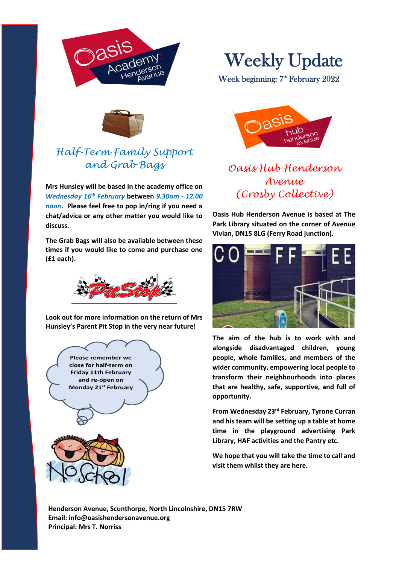



## *Half-Term Family Support and Grab Bags*

**Mrs Hunsley will be based in the academy office on**  *Wednesday 16th February* **between** *9.30am - 12.00 noon***. Please feel free to pop in/ring if you need a chat/advice or any other matter you would like to discuss.**

**The Grab Bags will also be available between these times if you would like to come and purchase one (£1 each).**



**Look out for more information on the return of Mrs Hunsley's Parent Pit Stop in the very near future!**





Week beginning: 7<sup>th</sup> February 2022



## *Oasis Hub Henderson Avenue (Crosby Collective)*

**Oasis Hub Henderson Avenue is based at The Park Library situated on the corner of Avenue Vivian, DN15 8LG (Ferry Road junction).**



**The aim of the hub is to work with and alongside disadvantaged children, young people, whole families, and members of the wider community, empowering local people to transform their neighbourhoods into places that are healthy, safe, supportive, and full of opportunity.**

**From Wednesday 23rd February, Tyrone Curran and his team will be setting up a table at home time in the playground advertising Park Library, HAF activities and the Pantry etc.**

**We hope that you will take the time to call and visit them whilst they are here.**

**Henderson Avenue, Scunthorpe, North Lincolnshire, DN15 7RW Email: info@oasishendersonavenue.org Principal: Mrs T. Norriss**